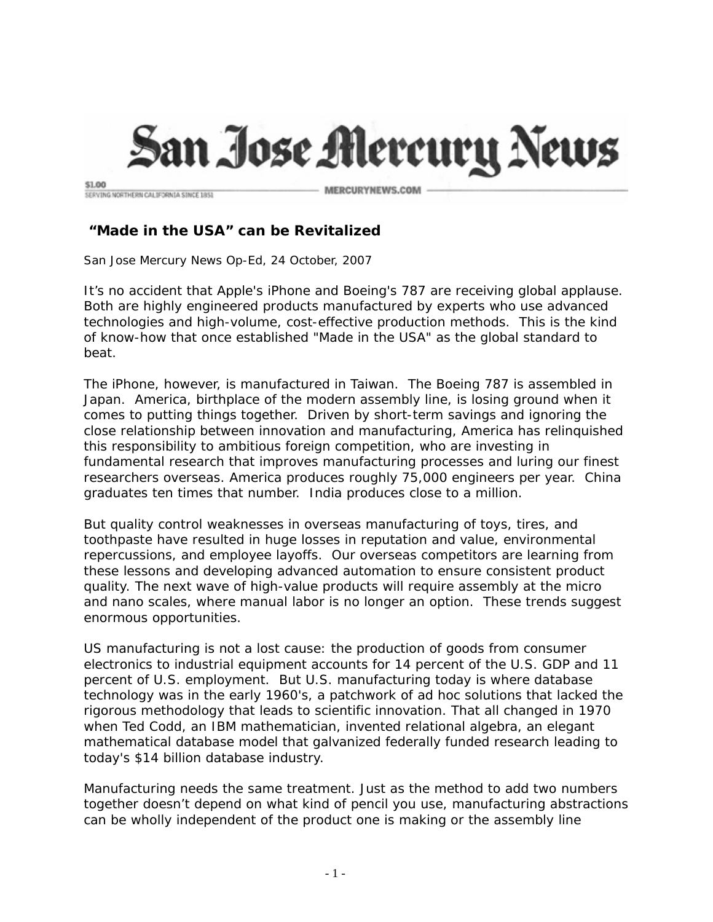

\$1.00 SERVING NORTHERN CALIFORNIA SINCE 1851

MERCURYNEWS.COM

## **"Made in the USA" can be Revitalized**

San Jose Mercury News Op-Ed, 24 October, 2007

It's no accident that Apple's iPhone and Boeing's 787 are receiving global applause. Both are highly engineered products manufactured by experts who use advanced technologies and high-volume, cost-effective production methods. This is the kind of know-how that once established "Made in the USA" as the global standard to beat.

The iPhone, however, is manufactured in Taiwan. The Boeing 787 is assembled in Japan. America, birthplace of the modern assembly line, is losing ground when it comes to putting things together. Driven by short-term savings and ignoring the close relationship between innovation and manufacturing, America has relinquished this responsibility to ambitious foreign competition, who are investing in fundamental research that improves manufacturing processes and luring our finest researchers overseas. America produces roughly 75,000 engineers per year. China graduates ten times that number. India produces close to a million.

But quality control weaknesses in overseas manufacturing of toys, tires, and toothpaste have resulted in huge losses in reputation and value, environmental repercussions, and employee layoffs. Our overseas competitors are learning from these lessons and developing advanced automation to ensure consistent product quality. The next wave of high-value products will require assembly at the micro and nano scales, where manual labor is no longer an option. These trends suggest enormous opportunities.

US manufacturing is not a lost cause: the production of goods from consumer electronics to industrial equipment accounts for 14 percent of the U.S. GDP and 11 percent of U.S. employment. But U.S. manufacturing today is where database technology was in the early 1960's, a patchwork of ad hoc solutions that lacked the rigorous methodology that leads to scientific innovation. That all changed in 1970 when Ted Codd, an IBM mathematician, invented relational algebra, an elegant mathematical database model that galvanized federally funded research leading to today's \$14 billion database industry.

Manufacturing needs the same treatment. Just as the method to add two numbers together doesn't depend on what kind of pencil you use, manufacturing abstractions can be wholly independent of the product one is making or the assembly line